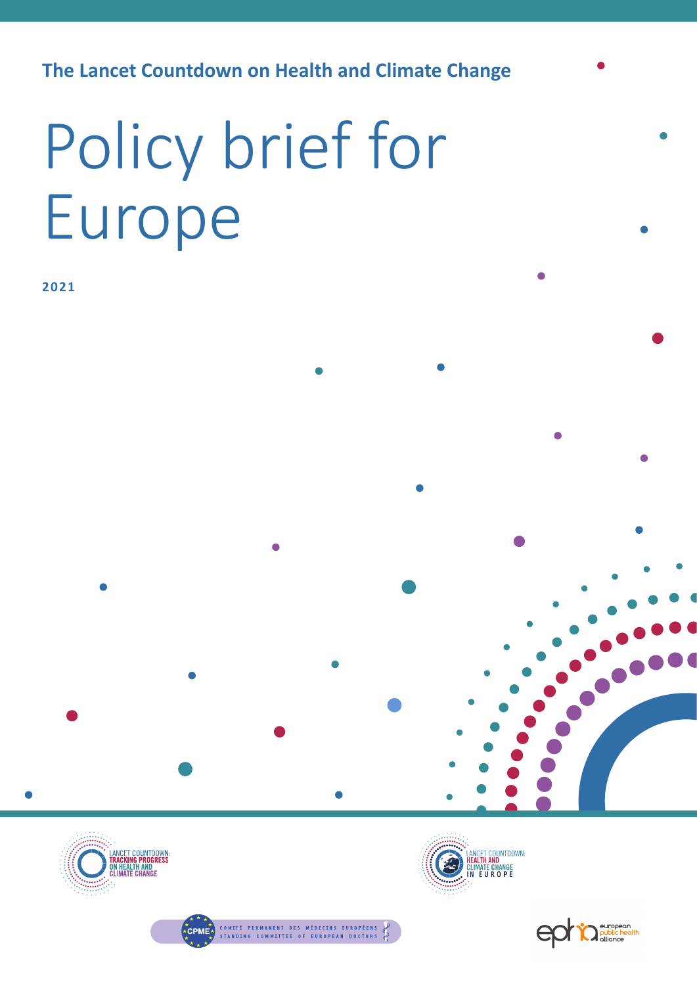**The Lancet Countdown on Health and Climate Change** 

# Policy brief for Europe

**2021**







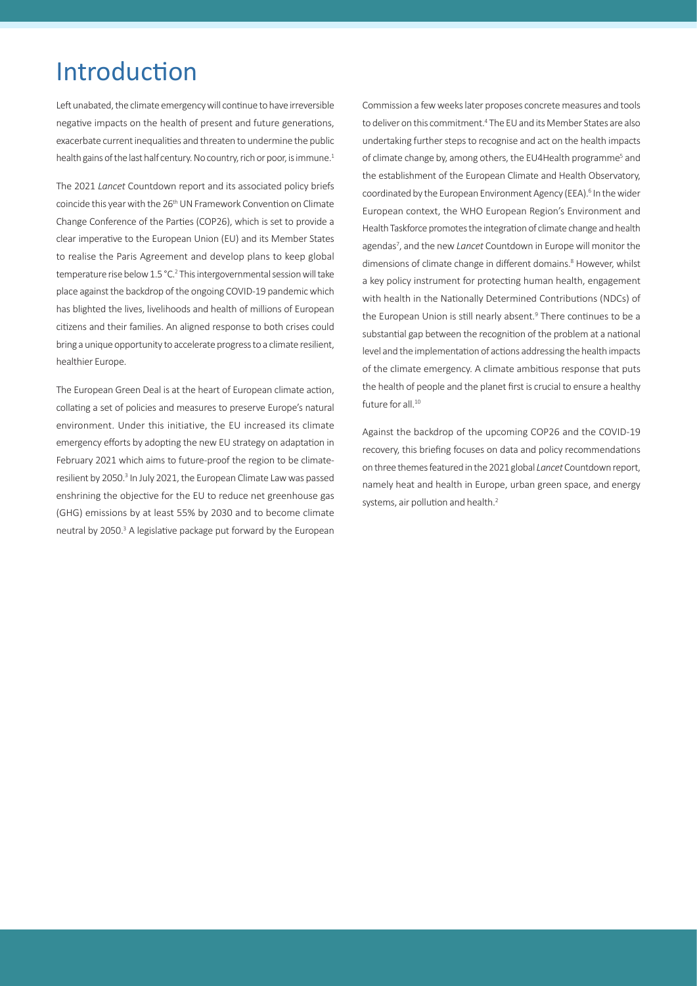#### Introduction

Left unabated, the climate emergency will continue to have irreversible negative impacts on the health of present and future generations, exacerbate current inequalities and threaten to undermine the public health gains of the last half century. No country, rich or poor, is immune.<sup>1</sup>

The 2021 *Lancet* Countdown report and its associated policy briefs coincide this year with the 26<sup>th</sup> UN Framework Convention on Climate Change Conference of the Parties (COP26), which is set to provide a clear imperative to the European Union (EU) and its Member States to realise the Paris Agreement and develop plans to keep global temperature rise below 1.5 °C.<sup>2</sup> This intergovernmental session will take place against the backdrop of the ongoing COVID-19 pandemic which has blighted the lives, livelihoods and health of millions of European citizens and their families. An aligned response to both crises could bring a unique opportunity to accelerate progress to a climate resilient, healthier Europe.

The European Green Deal is at the heart of European climate action, collating a set of policies and measures to preserve Europe's natural environment. Under this initiative, the EU increased its climate emergency efforts by adopting the new EU strategy on adaptation in February 2021 which aims to future-proof the region to be climateresilient by 2050.<sup>3</sup> In July 2021, the European Climate Law was passed enshrining the objective for the EU to reduce net greenhouse gas (GHG) emissions by at least 55% by 2030 and to become climate neutral by 2050.<sup>3</sup> A legislative package put forward by the European

Commission a few weeks later proposes concrete measures and tools to deliver on this commitment.<sup>4</sup> The EU and its Member States are also undertaking further steps to recognise and act on the health impacts of climate change by, among others, the EU4Health programme<sup>5</sup> and the establishment of the European Climate and Health Observatory, coordinated by the European Environment Agency (EEA).<sup>6</sup> In the wider European context, the WHO European Region's Environment and Health Taskforce promotes the integration of climate change and health agendas<sup>7</sup>, and the new *Lancet* Countdown in Europe will monitor the dimensions of climate change in different domains.<sup>8</sup> However, whilst a key policy instrument for protecting human health, engagement with health in the Nationally Determined Contributions (NDCs) of the European Union is still nearly absent.<sup>9</sup> There continues to be a substantial gap between the recognition of the problem at a national level and the implementation of actions addressing the health impacts of the climate emergency. A climate ambitious response that puts the health of people and the planet first is crucial to ensure a healthy future for all.<sup>10</sup>

Against the backdrop of the upcoming COP26 and the COVID-19 recovery, this briefing focuses on data and policy recommendations on three themes featured in the 2021 global *Lancet* Countdown report, namely heat and health in Europe, urban green space, and energy systems, air pollution and health.<sup>2</sup>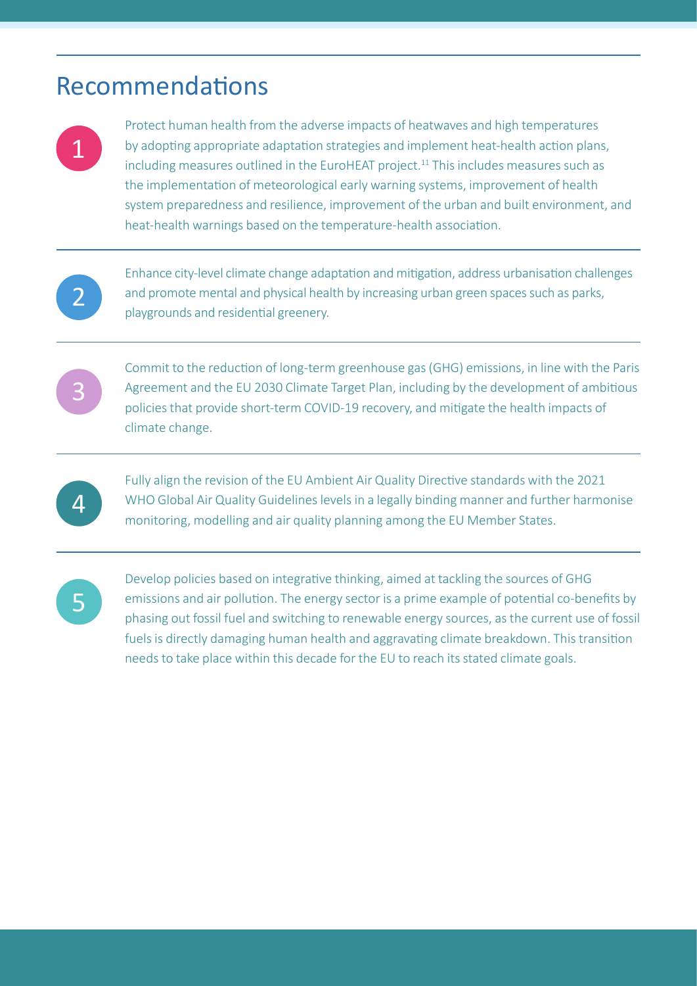## Recommendations

Protect human health from the adverse impacts of heatwaves and high temperatures by adopting appropriate adaptation strategies and implement heat-health action plans, including measures outlined in the EuroHEAT project.<sup>11</sup> This includes measures such as the implementation of meteorological early warning systems, improvement of health system preparedness and resilience, improvement of the urban and built environment, and heat-health warnings based on the temperature-health association.

2

1

Enhance city-level climate change adaptation and mitigation, address urbanisation challenges and promote mental and physical health by increasing urban green spaces such as parks, playgrounds and residential greenery.



Commit to the reduction of long-term greenhouse gas (GHG) emissions, in line with the Paris Agreement and the EU 2030 Climate Target Plan, including by the development of ambitious policies that provide short-term COVID-19 recovery, and mitigate the health impacts of climate change.



Fully align the revision of the EU Ambient Air Quality Directive standards with the 2021 WHO Global Air Quality Guidelines levels in a legally binding manner and further harmonise monitoring, modelling and air quality planning among the EU Member States.



Develop policies based on integrative thinking, aimed at tackling the sources of GHG emissions and air pollution. The energy sector is a prime example of potential co-benefits by phasing out fossil fuel and switching to renewable energy sources, as the current use of fossil fuels is directly damaging human health and aggravating climate breakdown. This transition needs to take place within this decade for the EU to reach its stated climate goals.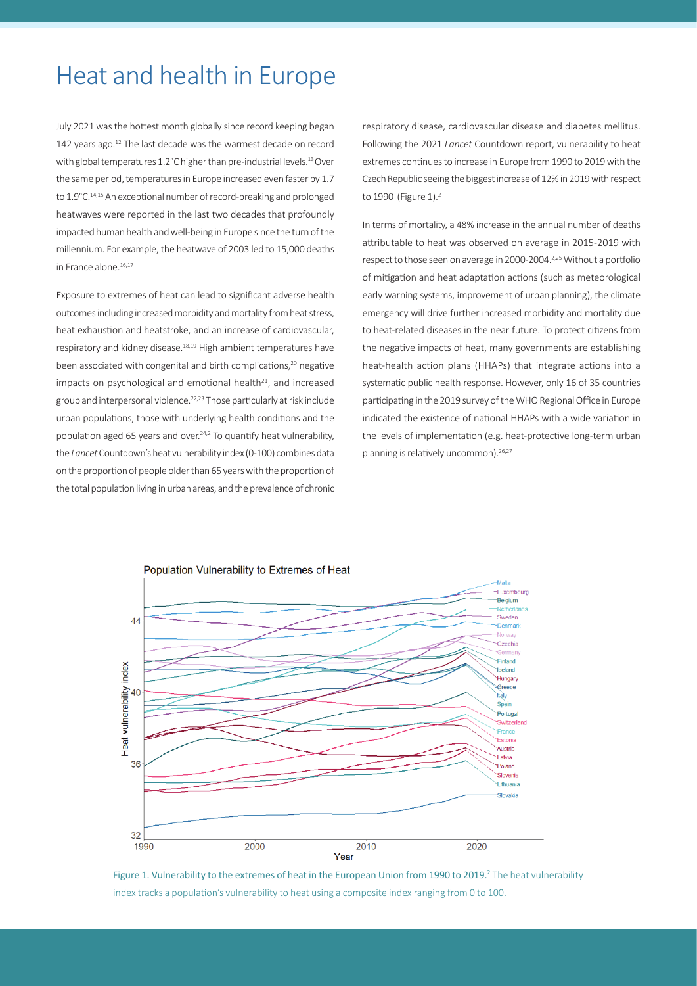## Heat and health in Europe

July 2021 was the hottest month globally since record keeping began 142 years ago.<sup>12</sup> The last decade was the warmest decade on record with global temperatures 1.2°C higher than pre-industrial levels.<sup>13</sup> Over the same period, temperatures in Europe increased even faster by 1.7 to 1.9°C.<sup>14,15</sup> An exceptional number of record-breaking and prolonged heatwaves were reported in the last two decades that profoundly impacted human health and well-being in Europe since the turn of the millennium. For example, the heatwave of 2003 led to 15,000 deaths in France alone.16,17

Exposure to extremes of heat can lead to significant adverse health outcomes including increased morbidity and mortality from heat stress, heat exhaustion and heatstroke, and an increase of cardiovascular, respiratory and kidney disease.<sup>18,19</sup> High ambient temperatures have been associated with congenital and birth complications,<sup>20</sup> negative impacts on psychological and emotional health $21$ , and increased group and interpersonal violence.22,23 Those particularly at risk include urban populations, those with underlying health conditions and the population aged 65 years and over.24,2 To quantify heat vulnerability, the *Lancet* Countdown's heat vulnerability index (0-100) combines data on the proportion of people older than 65 years with the proportion of the total population living in urban areas, and the prevalence of chronic respiratory disease, cardiovascular disease and diabetes mellitus. Following the 2021 *Lancet* Countdown report, vulnerability to heat extremes continues to increase in Europe from 1990 to 2019 with the Czech Republic seeing the biggest increase of 12% in 2019 with respect to 1990 (Figure 1).<sup>2</sup>

In terms of mortality, a 48% increase in the annual number of deaths attributable to heat was observed on average in 2015-2019 with respect to those seen on average in 2000-2004.2,25 Without a portfolio of mitigation and heat adaptation actions (such as meteorological early warning systems, improvement of urban planning), the climate emergency will drive further increased morbidity and mortality due to heat-related diseases in the near future. To protect citizens from the negative impacts of heat, many governments are establishing heat-health action plans (HHAPs) that integrate actions into a systematic public health response. However, only 16 of 35 countries participating in the 2019 survey of the WHO Regional Office in Europe indicated the existence of national HHAPs with a wide variation in the levels of implementation (e.g. heat-protective long-term urban planning is relatively uncommon).<sup>26,27</sup>



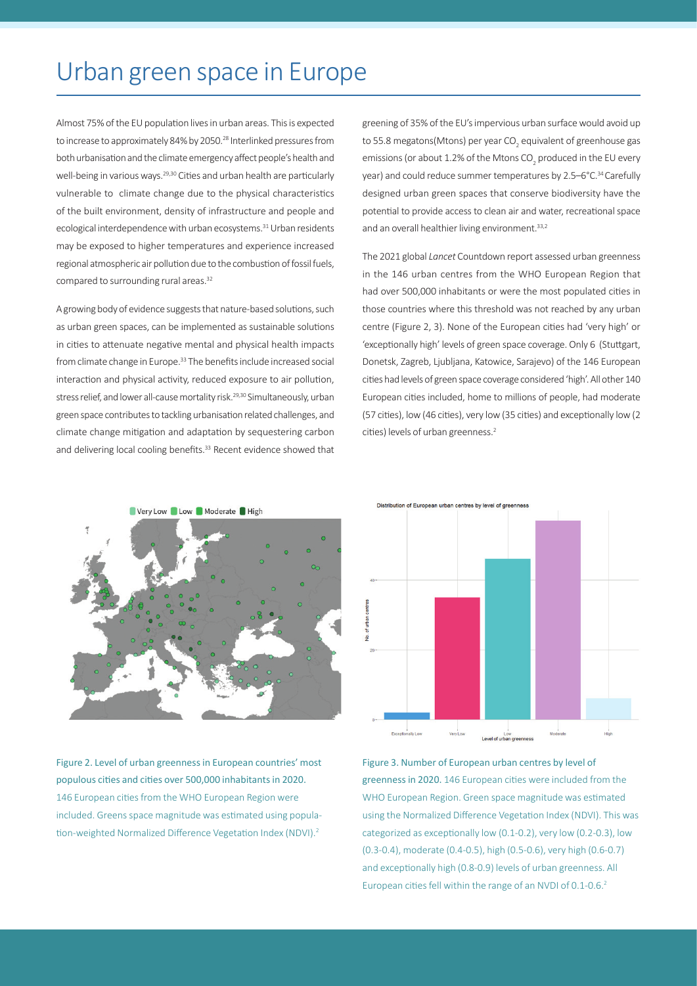## Urban green space in Europe

Almost 75% of the EU population lives in urban areas. This is expected to increase to approximately 84% by 2050.<sup>28</sup> Interlinked pressures from both urbanisation and the climate emergency affect people's health and well-being in various ways.<sup>29,30</sup> Cities and urban health are particularly vulnerable to climate change due to the physical characteristics of the built environment, density of infrastructure and people and ecological interdependence with urban ecosystems.<sup>31</sup> Urban residents may be exposed to higher temperatures and experience increased regional atmospheric air pollution due to the combustion of fossil fuels, compared to surrounding rural areas.<sup>32</sup>

A growing body of evidence suggests that nature-based solutions, such as urban green spaces, can be implemented as sustainable solutions in cities to attenuate negative mental and physical health impacts from climate change in Europe.<sup>33</sup> The benefits include increased social interaction and physical activity, reduced exposure to air pollution, stress relief, and lower all-cause mortality risk.<sup>29,30</sup> Simultaneously, urban green space contributes to tackling urbanisation related challenges, and climate change mitigation and adaptation by sequestering carbon and delivering local cooling benefits.<sup>33</sup> Recent evidence showed that greening of 35% of the EU's impervious urban surface would avoid up to 55.8 megatons(Mtons) per year CO $_{_2}$  equivalent of greenhouse gas emissions (or about 1.2% of the Mtons CO<sub>2</sub> produced in the EU every year) and could reduce summer temperatures by 2.5–6°C.<sup>34</sup> Carefully designed urban green spaces that conserve biodiversity have the potential to provide access to clean air and water, recreational space and an overall healthier living environment.<sup>33,2</sup>

The 2021 global *Lancet* Countdown report assessed urban greenness in the 146 urban centres from the WHO European Region that had over 500,000 inhabitants or were the most populated cities in those countries where this threshold was not reached by any urban centre (Figure 2, 3). None of the European cities had 'very high' or 'exceptionally high' levels of green space coverage. Only 6 (Stuttgart, Donetsk, Zagreb, Ljubljana, Katowice, Sarajevo) of the 146 European cities had levels of green space coverage considered 'high'. All other 140 European cities included, home to millions of people, had moderate (57 cities), low (46 cities), very low (35 cities) and exceptionally low (2 cities) levels of urban greenness.<sup>2</sup>



Figure 2. Level of urban greenness in European countries' most populous cities and cities over 500,000 inhabitants in 2020. 146 European cities from the WHO European Region were included. Greens space magnitude was estimated using population-weighted Normalized Difference Vegetation Index (NDVI).2

Distribution of European urban centres by level of greenness



Figure 3. Number of European urban centres by level of greenness in 2020. 146 European cities were included from the WHO European Region. Green space magnitude was estimated using the Normalized Difference Vegetation Index (NDVI). This was categorized as exceptionally low (0.1-0.2), very low (0.2-0.3), low (0.3-0.4), moderate (0.4-0.5), high (0.5-0.6), very high (0.6-0.7) and exceptionally high (0.8-0.9) levels of urban greenness. All European cities fell within the range of an NVDI of 0.1-0.6.<sup>2</sup>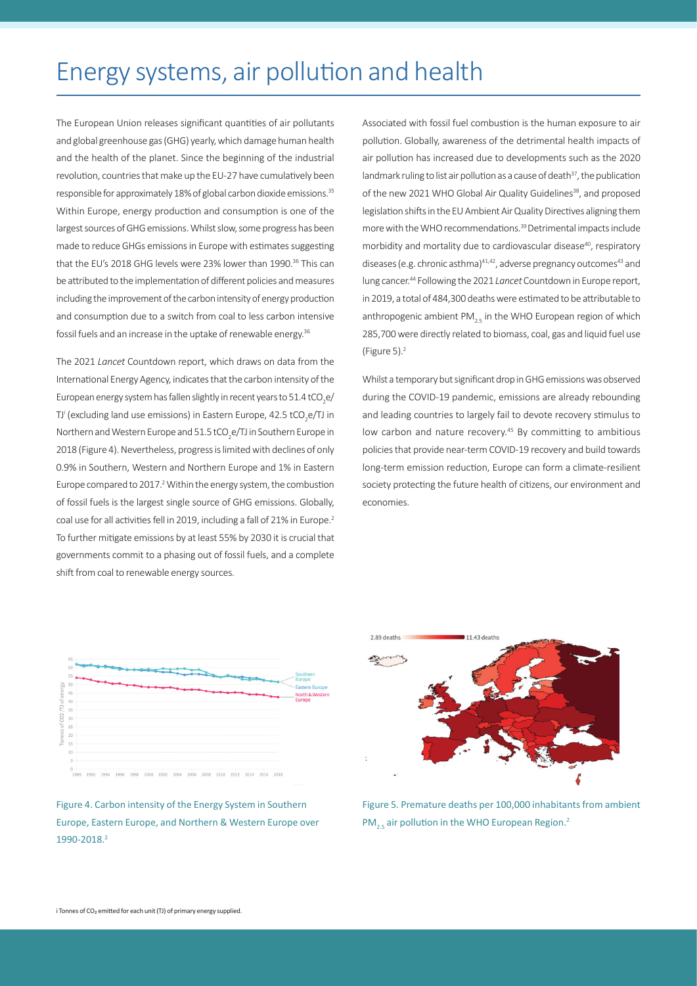## Energy systems, air pollution and health

The European Union releases significant quantities of air pollutants and global greenhouse gas (GHG) yearly, which damage human health and the health of the planet. Since the beginning of the industrial revolution, countries that make up the EU-27 have cumulatively been responsible for approximately 18% of global carbon dioxide emissions.35 Within Europe, energy production and consumption is one of the largest sources of GHG emissions. Whilst slow, some progress has been made to reduce GHGs emissions in Europe with estimates suggesting that the EU's 2018 GHG levels were 23% lower than 1990.<sup>36</sup> This can be attributed to the implementation of different policies and measures including the improvement of the carbon intensity of energy production and consumption due to a switch from coal to less carbon intensive fossil fuels and an increase in the uptake of renewable energy.<sup>36</sup>

The 2021 *Lancet* Countdown report, which draws on data from the International Energy Agency, indicates that the carbon intensity of the European energy system has fallen slightly in recent years to 51.4 tCO<sub>2</sub>e/ TJ' (excluding land use emissions) in Eastern Europe, 42.5 tCO<sub>2</sub>e/TJ in Northern and Western Europe and 51.5 tCO<sub>2</sub>e/TJ in Southern Europe in 2018 (Figure 4). Nevertheless, progress is limited with declines of only 0.9% in Southern, Western and Northern Europe and 1% in Eastern Europe compared to 2017.<sup>2</sup> Within the energy system, the combustion of fossil fuels is the largest single source of GHG emissions. Globally, coal use for all activities fell in 2019, including a fall of 21% in Europe.<sup>2</sup> To further mitigate emissions by at least 55% by 2030 it is crucial that governments commit to a phasing out of fossil fuels, and a complete shift from coal to renewable energy sources.

Associated with fossil fuel combustion is the human exposure to air pollution. Globally, awareness of the detrimental health impacts of air pollution has increased due to developments such as the 2020 landmark ruling to list air pollution as a cause of death $37$ , the publication of the new 2021 WHO Global Air Quality Guidelines<sup>38</sup>, and proposed legislation shifts in the EU Ambient Air Quality Directives aligning them more with the WHO recommendations.39 Detrimental impacts include morbidity and mortality due to cardiovascular disease<sup>40</sup>, respiratory diseases (e.g. chronic asthma)<sup>41,42</sup>, adverse pregnancy outcomes<sup>43</sup> and lung cancer.<sup>44</sup> Following the 2021 *Lancet* Countdown in Europe report, in 2019, a total of 484,300 deaths were estimated to be attributable to anthropogenic ambient  $PM_{2.5}$  in the WHO European region of which 285,700 were directly related to biomass, coal, gas and liquid fuel use (Figure 5).2

Whilst a temporary but significant drop in GHG emissions was observed during the COVID-19 pandemic, emissions are already rebounding and leading countries to largely fail to devote recovery stimulus to low carbon and nature recovery.<sup>45</sup> By committing to ambitious policies that provide near-term COVID-19 recovery and build towards long-term emission reduction, Europe can form a climate-resilient society protecting the future health of citizens, our environment and economies.



Figure 4. Carbon intensity of the Energy System in Southern Europe, Eastern Europe, and Northern & Western Europe over 1990-2018.2



Figure 5. Premature deaths per 100,000 inhabitants from ambient PM<sub>2.5</sub> air pollution in the WHO European Region.<sup>2</sup>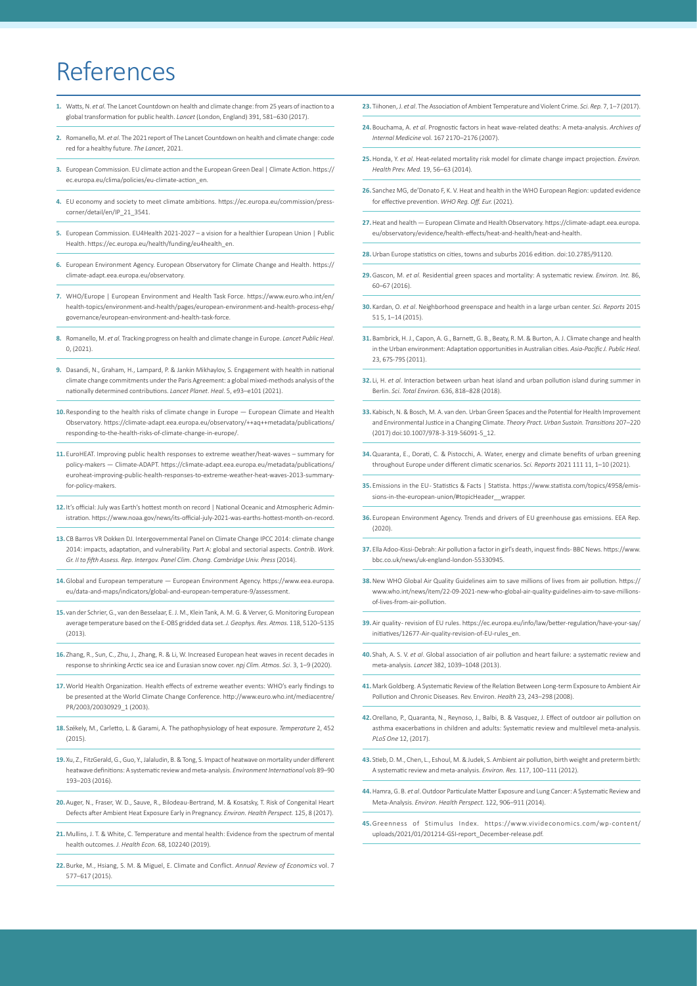## References

- **1.** Watts, N. *et al*. The Lancet Countdown on health and climate change: from 25 years of inaction to a global transformation for public health. *Lancet* (London, England) 391, 581–630 (2017).
- **2.** Romanello, M. *et al*. The 2021 report of The Lancet Countdown on health and climate change: code red for a healthy future. *The Lancet*, 2021.
- **3.** European Commission. EU climate action and the European Green Deal | Climate Action. https:// ec.europa.eu/clima/policies/eu-climate-action\_en.
- **4.** EU economy and society to meet climate ambitions. https://ec.europa.eu/commission/presscorner/detail/en/IP\_21\_3541.
- **5.** European Commission. EU4Health 2021-2027 a vision for a healthier European Union | Public Health. https://ec.europa.eu/health/funding/eu4health\_en.
- **6.** European Environment Agency. European Observatory for Climate Change and Health. https:// climate-adapt.eea.europa.eu/observatory.
- **7.** WHO/Europe | European Environment and Health Task Force. https://www.euro.who.int/en/ health-topics/environment-and-health/pages/european-environment-and-health-process-ehp/ governance/european-environment-and-health-task-force.
- **8.** Romanello, M. *et al.* Tracking progress on health and climate change in Europe. *Lancet Public Heal*. 0, (2021).
- **9.** Dasandi, N., Graham, H., Lampard, P. & Jankin Mikhaylov, S. Engagement with health in national climate change commitments under the Paris Agreement: a global mixed-methods analysis of the nationally determined contributions. *Lancet Planet. Heal.* 5, e93–e101 (2021).
- **10.** Responding to the health risks of climate change in Europe European Climate and Health Observatory. https://climate-adapt.eea.europa.eu/observatory/++aq++metadata/publications/ responding-to-the-health-risks-of-climate-change-in-europe/.
- **11.** EuroHEAT. Improving public health responses to extreme weather/heat-waves summary for policy-makers — Climate-ADAPT. https://climate-adapt.eea.europa.eu/metadata/publications/ euroheat-improving-public-health-responses-to-extreme-weather-heat-waves-2013-summaryfor-policy-makers.
- **12.** It's official: July was Earth's hottest month on record | National Oceanic and Atmospheric Administration. https://www.noaa.gov/news/its-official-july-2021-was-earths-hottest-month-on-record.
- **13.** CB Barros VR Dokken DJ. Intergovernmental Panel on Climate Change IPCC 2014: climate change 2014: impacts, adaptation, and vulnerability. Part A: global and sectorial aspects. *Contrib. Work. Gr. II to fifth Assess. Rep. Intergov. Panel Clim. Chang. Cambridge Univ. Press* (2014).
- **14.**Global and European temperature European Environment Agency. https://www.eea.europa. eu/data-and-maps/indicators/global-and-european-temperature-9/assessment.
- **15.** van der Schrier, G., van den Besselaar, E. J. M., Klein Tank, A. M. G. & Verver, G. Monitoring European average temperature based on the E-OBS gridded data set. *J. Geophys. Res. Atmos.* 118, 5120–5135  $(2013)$
- **16.** Zhang, R., Sun, C., Zhu, J., Zhang, R. & Li, W. Increased European heat waves in recent decades in response to shrinking Arctic sea ice and Eurasian snow cover. *npj Clim. Atmos. Sci*. 3, 1–9 (2020).
- **17.**World Health Organization. Health effects of extreme weather events: WHO's early findings to be presented at the World Climate Change Conference. http://www.euro.who.int/mediacentre/ PR/2003/20030929\_1 (2003).
- **18.** Székely, M., Carletto, L. & Garami, A. The pathophysiology of heat exposure. *Temperature* 2, 452  $(2015)$
- **19.** Xu, Z., FitzGerald, G., Guo, Y., Jalaludin, B. & Tong, S. Impact of heatwave on mortality under different heatwave definitions: A systematic review and meta-analysis. *Environment International vols* 89–90 193–203 (2016).
- **20.**Auger, N., Fraser, W. D., Sauve, R., Bilodeau-Bertrand, M. & Kosatsky, T. Risk of Congenital Heart Defects after Ambient Heat Exposure Early in Pregnancy. *Environ. Health Perspect.* 125, 8 (2017).
- 21. Mullins, J. T. & White, C. Temperature and mental health: Evidence from the spectrum of mental health outcomes. *J. Health Econ.* 68, 102240 (2019).
- **22.** Burke, M., Hsiang, S. M. & Miguel, E. Climate and Conflict. *Annual Review of Economics* vol. 7 577–617 (2015).
- **23.** Tiihonen, J. *et al*. The Association of Ambient Temperature and Violent Crime. *Sci. Rep.* 7, 1–7 (2017).
- **24.** Bouchama, A. *et al*. Prognostic factors in heat wave-related deaths: A meta-analysis. *Archives of Internal Medicine* vol. 167 2170–2176 (2007).
- **25.**Honda, Y. *et al*. Heat-related mortality risk model for climate change impact projection. *Environ. Health Prev. Med.* 19, 56–63 (2014).
- **26.** Sanchez MG, de'Donato F, K. V. Heat and health in the WHO European Region: updated evidence for effective prevention. *WHO Reg. Off. Eur.* (2021).
- **27.**Heat and health European Climate and Health Observatory. https://climate-adapt.eea.europa. eu/observatory/evidence/health-effects/heat-and-health/heat-and-health.
- **28.**Urban Europe statistics on cities, towns and suburbs 2016 edition. doi:10.2785/91120.
- **29.**Gascon, M. *et al*. Residential green spaces and mortality: A systematic review. *Environ. Int.* 86, 60–67 (2016).
- **30.** Kardan, O. *et al*. Neighborhood greenspace and health in a large urban center. *Sci. Reports* 2015 51 5, 1–14 (2015).
- **31.** Bambrick, H. J., Capon, A. G., Barnett, G. B., Beaty, R. M. & Burton, A. J. Climate change and health in the Urban environment: Adaptation opportunities in Australian cities. *Asia-Pacific J. Public Heal.*  23, 67S-79S (2011).
- **32.** Li, H. *et al*. Interaction between urban heat island and urban pollution island during summer in Berlin. *Sci. Total Environ.* 636, 818–828 (2018).
- **33.** Kabisch, N. & Bosch, M. A. van den. Urban Green Spaces and the Potential for Health Improvement and Environmental Justice in a Changing Climate. *Theory Pract. Urban Sustain. Transitions* 207–220 (2017) doi:10.1007/978-3-319-56091-5\_12.
- **34.**Quaranta, E., Dorati, C. & Pistocchi, A. Water, energy and climate benefits of urban greening throughout Europe under different climatic scenarios. S*ci. Reports* 2021 111 11, 1–10 (2021).
- **35.** Emissions in the EU Statistics & Facts | Statista. https://www.statista.com/topics/4958/emissions-in-the-european-union/#topicHeader\_\_wrapper.
- **36.** European Environment Agency. Trends and drivers of EU greenhouse gas emissions. EEA Rep. (2020).
- **37.** Ella Adoo-Kissi-Debrah: Air pollution a factor in girl's death, inquest finds BBC News. https://www. bbc.co.uk/news/uk-england-london-55330945.
- **38.**New WHO Global Air Quality Guidelines aim to save millions of lives from air pollution. https:// www.who.int/news/item/22-09-2021-new-who-global-air-quality-guidelines-aim-to-save-millionsof-lives-from-air-pollution.
- **39.**Air quality revision of EU rules. https://ec.europa.eu/info/law/better-regulation/have-your-say/ initiatives/12677-Air-quality-revision-of-EU-rules\_en.
- **40.** Shah, A. S. V. *et al*. Global association of air pollution and heart failure: a systematic review and meta-analysis. *Lancet* 382, 1039–1048 (2013).
- **41.**Mark Goldberg. A Systematic Review of the Relation Between Long-term Exposure to Ambient Air Pollution and Chronic Diseases. Rev. Environ. *Health* 23, 243–298 (2008).
- **42.** Orellano, P., Quaranta, N., Reynoso, J., Balbi, B. & Vasquez, J. Effect of outdoor air pollution on asthma exacerbations in children and adults: Systematic review and multilevel meta-analysis. *PLoS One* 12, (2017).
- **43.** Stieb, D. M., Chen, L., Eshoul, M. & Judek, S. Ambient air pollution, birth weight and preterm birth: A systematic review and meta-analysis. *Environ. Res.* 117, 100–111 (2012).
- **44.**Hamra, G. B. *et al*. Outdoor Particulate Matter Exposure and Lung Cancer: A Systematic Review and Meta-Analysis. *Environ*. *Health Perspect.* 122, 906–911 (2014).
- **45.**Greenness of Stimulus Index. https://www.vivideconomics.com/wp-content/ uploads/2021/01/201214-GSI-report\_December-release.pdf.